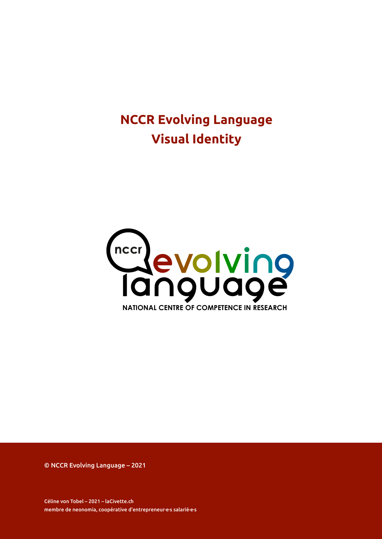# **NCCR Evolving Language Visual Identity**



© NCCR Evolving Language – 2021

Céline von Tobel – 2021 – laCivette.ch membre de neonomia, coopérative d'entrepreneur·e·s salarié·e·s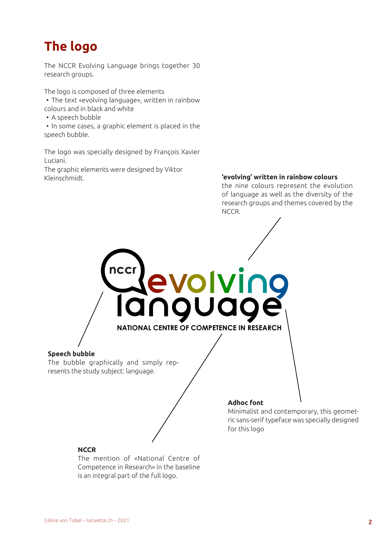# **The logo**

The NCCR Evolving Language brings together 30 research groups.

The logo is composed of three elements • The text «evolving language», written in rainbow colours and in black and white

• A speech bubble

• In some cases, a graphic element is placed in the speech bubble.

The logo was specially designed by François Xavier Luciani.

ncci

The graphic elements were designed by Viktor Kleinschmidt. **'evolving' written in rainbow colours**

the nine colours represent the evolution of language as well as the diversity of the research groups and themes covered by the NCCR.

**Speech bubble**

The bubble graphically and simply represents the study subject: language.

### **Adhoc font**

**NATIONAL CENTRE OF COMPETENCE IN RESEARCH**

**PVOIV** 

Minimalist and contemporary, this geometric sans-serif typeface was specially designed for this logo

### **NCCR**

The mention of «National Centre of Competence in Research» in the baseline is an integral part of the full logo.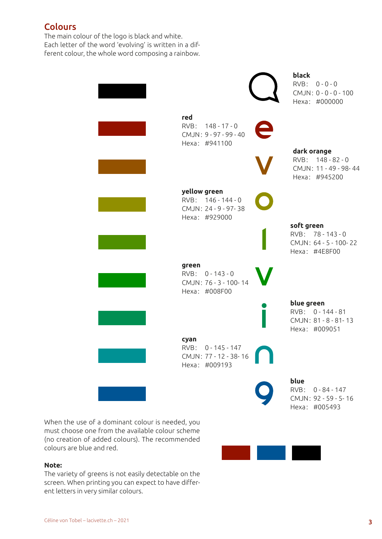### **Colours**

The main colour of the logo is black and white. Each letter of the word 'evolving' is written in a different colour, the whole word composing a rainbow.

|                                                                             | black<br>RVB: 0-0-0<br>CMJN: 0 - 0 - 0 - 100<br>Hexa: #000000          |
|-----------------------------------------------------------------------------|------------------------------------------------------------------------|
| red<br>RVB: 148-17-0<br>CMJN: 9-97-99-40<br>Hexa: #941100                   |                                                                        |
|                                                                             | dark orange<br>RVB: 148-82-0<br>CMJN: 11 - 49 - 98-44<br>Hexa: #945200 |
| yellow green<br>RVB: 146 - 144 - 0<br>CMJN: 24 - 9 - 97-38<br>Hexa: #929000 |                                                                        |
|                                                                             | soft green<br>RVB: 78-143-0<br>CMJN: 64 - 5 - 100-22<br>Hexa: #4E8F00  |
| green<br>RVB: 0-143-0<br>CMJN: 76 - 3 - 100-14<br>Hexa: #008F00             |                                                                        |
|                                                                             | blue green<br>RVB: 0-144-81<br>CMJN: 81 - 8 - 81 - 13<br>Hexa: #009051 |
| cyan<br>$0 - 145 - 147$<br>RVB:<br>CMJN: 77 - 12 - 38-16<br>Hexa: #009193   |                                                                        |
|                                                                             | blue<br>RVB: 0-84-147<br>CMJN: 92 - 59 - 5-16<br>Hexa: #005493         |

When the use of a dominant colour is needed, you must choose one from the available colour scheme (no creation of added colours). The recommended colours are blue and red.

### **Note:**

The variety of greens is not easily detectable on the screen. When printing you can expect to have different letters in very similar colours.

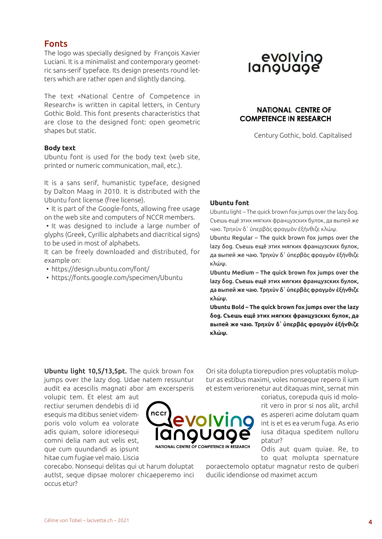### Fonts

The logo was specially designed by François Xavier Luciani. It is a minimalist and contemporary geometric sans-serif typeface. Its design presents round letters which are rather open and slightly dancing.

The text «National Centre of Competence in Research» is written in capital letters, in Century Gothic Bold. This font presents characteristics that are close to the designed font: open geometric shapes but static.

### **Body text**

Ubuntu font is used for the body text (web site, printed or numeric communication, mail, etc.).

It is a sans serif, humanistic typeface, designed by Dalton Maag in 2010. It is distributed with the Ubuntu font license (free license).

• It is part of the Google-fonts, allowing free usage on the web site and computers of NCCR members.

• It was designed to include a large number of glyphs (Greek, Cyrillic alphabets and diacritical signs) to be used in most of alphabets.

It can be freely downloaded and distributed, for example on:

• https://design.ubuntu.com/font/

• https://fonts.google.com/specimen/Ubuntu

# evolving<br>language

### **NATIONAL CENTRE OF COMPETENCE IN RESEARCH**

Century Gothic, bold. Capitalised

### **Ubuntu font**

Ubuntu light – The quick brown fox jumps over the lazy δog. Съешь ещё этих мягких французских булок, да выпей же чаю. Τρηχὺν δ᾽ ὑπερβὰς φραγμὸν ἐξήνθιζε κλώψ.

Ubuntu Regular – The quick brown fox jumps over the lazy δog. Съешь ещё этих мягких французских булок, да выпей же чаю. Τρηχὺν δ᾽ ὑπερβὰς φραγμὸν ἐξήνθιζε κλώψ.

Ubuntu Medium – The quick brown fox jumps over the lazy δog. Съешь ещё этих мягких французских булок, да выпей же чаю. Τρηχὺν δ᾽ ὑπερβὰς φραγμὸν ἐξήνθιζε κλώψ.

**Ubuntu Bold – The quick brown fox jumps over the lazy δog. Съешь ещё этих мягких французских булок, да выпей же чаю. Τρηχὺν δ᾽ ὑπερβὰς φραγμὸν ἐξήνθιζε κλώψ.**

Ubuntu light 10,5/13,5pt. The quick brown fox jumps over the lazy dog. Udae natem ressuntur audit ea acescilis magnati abor am excersperis

volupic tem. Et elest am aut rectiur serumen dendebis di id esequis ma ditibus seniet videmporis volo volum ea volorate adis quiam, solore idioresequi comni delia nam aut velis est, que cum quundandi as ipsunt hitae cum fugiae vel maio. Liscia



corecabo. Nonsequi delitas qui ut harum doluptat autIst, seque dipsae molorer chicaeperemo inci occus etur?

Ori sita dolupta tiorepudion pres voluptatiis moluptur as estibus maximi, voles nonseque repero il ium et estem veriorenetur aut ditaquas mint, sernat min

> coriatus, corepuda quis id molorit vero in pror si nos alit, archil es aspereri acime dolutam quam int is et es ea verum fuga. As erio iusa ditaqua speditem nulloru ptatur?

> Odis aut quam quiae. Re, to to quat molupta spernature

poraectemolo optatur magnatur resto de quiberi ducilic idendionse od maximet accum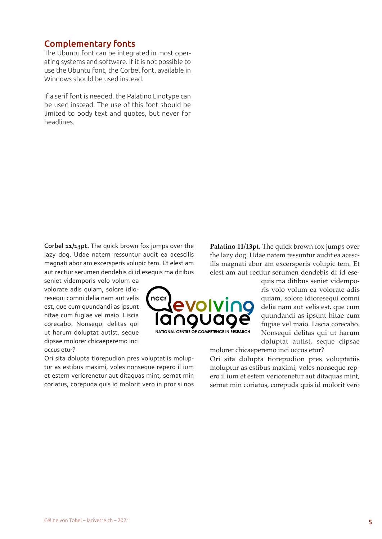### Complementary fonts

The Ubuntu font can be integrated in most operating systems and software. If it is not possible to use the Ubuntu font, the Corbel font, available in Windows should be used instead.

If a serif font is needed, the Palatino Linotype can be used instead. The use of this font should be limited to body text and quotes, but never for headlines.

**Corbel 11/13pt.** The quick brown fox jumps over the lazy dog. Udae natem ressuntur audit ea acescilis magnati abor am excersperis volupic tem. Et elest am aut rectiur serumen dendebis di id esequis ma ditibus

seniet videmporis volo volum ea volorate adis quiam, solore idioresequi comni delia nam aut velis est, que cum quundandi as ipsunt hitae cum fugiae vel maio. Liscia corecabo. Nonsequi delitas qui ut harum doluptat autIst, seque dipsae molorer chicaeperemo inci occus etur?

Ori sita dolupta tiorepudion pres voluptatiis moluptur as estibus maximi, voles nonseque repero il ium et estem veriorenetur aut ditaquas mint, sernat min coriatus, corepuda quis id molorit vero in pror si nos

ncc **NATIONAL CENTRE OF COMPETENCE IN RESEARCH**

Palatino 11/13pt. The quick brown fox jumps over the lazy dog. Udae natem ressuntur audit ea acescilis magnati abor am excersperis volupic tem. Et elest am aut rectiur serumen dendebis di id ese-

> quis ma ditibus seniet videmporis volo volum ea volorate adis quiam, solore idioresequi comni delia nam aut velis est, que cum quundandi as ipsunt hitae cum fugiae vel maio. Liscia corecabo. Nonsequi delitas qui ut harum doluptat autIst, seque dipsae

molorer chicaeperemo inci occus etur?

Ori sita dolupta tiorepudion pres voluptatiis moluptur as estibus maximi, voles nonseque repero il ium et estem veriorenetur aut ditaquas mint, sernat min coriatus, corepuda quis id molorit vero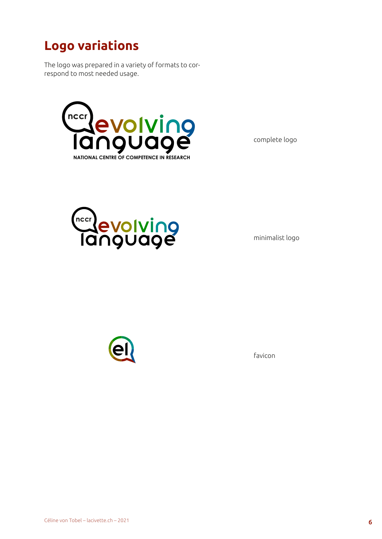# **Logo variations**

The logo was prepared in a variety of formats to correspond to most needed usage.



complete logo



minimalist logo



favicon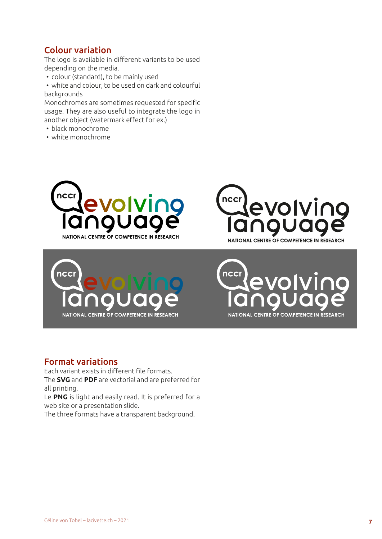### Colour variation

The logo is available in different variants to be used depending on the media.

• colour (standard), to be mainly used

• white and colour, to be used on dark and colourful backgrounds

Monochromes are sometimes requested for specific usage. They are also useful to integrate the logo in another object (watermark effect for ex.)

- black monochrome
- white monochrome









### Format variations

Each variant exists in different file formats. The **SVG** and **PDF** are vectorial and are preferred for all printing.

Le **PNG** is light and easily read. It is preferred for a web site or a presentation slide.

The three formats have a transparent background.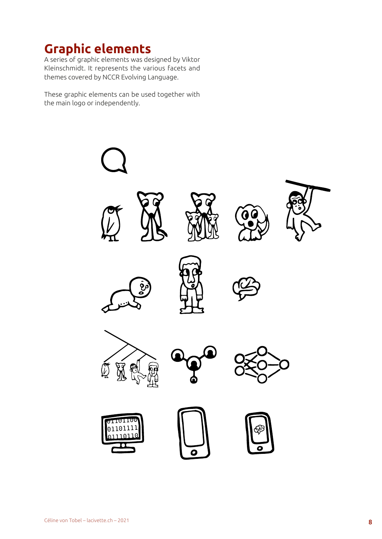## **Graphic elements**

A series of graphic elements was designed by Viktor Kleinschmidt. It represents the various facets and themes covered by NCCR Evolving Language.

These graphic elements can be used together with the main logo or independently.